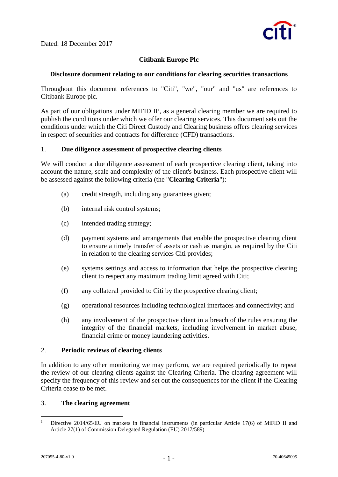Dated: 18 December 2017



# **Citibank Europe Plc**

## **Disclosure document relating to our conditions for clearing securities transactions**

Throughout this document references to "Citi", "we", "our" and "us" are references to Citibank Europe plc.

As part of our obligations under MIFID  $II<sup>1</sup>$ , as a general clearing member we are required to publish the conditions under which we offer our clearing services. This document sets out the conditions under which the Citi Direct Custody and Clearing business offers clearing services in respect of securities and contracts for difference (CFD) transactions.

## 1. **Due diligence assessment of prospective clearing clients**

We will conduct a due diligence assessment of each prospective clearing client, taking into account the nature, scale and complexity of the client's business. Each prospective client will be assessed against the following criteria (the "**Clearing Criteria**"):

- (a) credit strength, including any guarantees given;
- (b) internal risk control systems;
- (c) intended trading strategy;
- (d) payment systems and arrangements that enable the prospective clearing client to ensure a timely transfer of assets or cash as margin, as required by the Citi in relation to the clearing services Citi provides;
- (e) systems settings and access to information that helps the prospective clearing client to respect any maximum trading limit agreed with Citi;
- (f) any collateral provided to Citi by the prospective clearing client;
- (g) operational resources including technological interfaces and connectivity; and
- (h) any involvement of the prospective client in a breach of the rules ensuring the integrity of the financial markets, including involvement in market abuse, financial crime or money laundering activities.

## 2. **Periodic reviews of clearing clients**

In addition to any other monitoring we may perform, we are required periodically to repeat the review of our clearing clients against the Clearing Criteria. The clearing agreement will specify the frequency of this review and set out the consequences for the client if the Clearing Criteria cease to be met.

## 3. **The clearing agreement**

<sup>1</sup> <sup>1</sup> Directive 2014/65/EU on markets in financial instruments (in particular Article 17(6) of MiFID II and Article 27(1) of Commission Delegated Regulation (EU) 2017/589)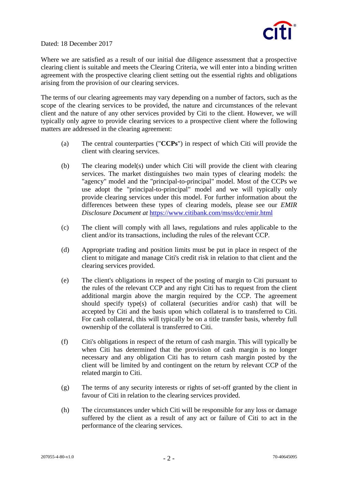

Dated: 18 December 2017

Where we are satisfied as a result of our initial due diligence assessment that a prospective clearing client is suitable and meets the Clearing Criteria, we will enter into a binding written agreement with the prospective clearing client setting out the essential rights and obligations arising from the provision of our clearing services.

The terms of our clearing agreements may vary depending on a number of factors, such as the scope of the clearing services to be provided, the nature and circumstances of the relevant client and the nature of any other services provided by Citi to the client. However, we will typically only agree to provide clearing services to a prospective client where the following matters are addressed in the clearing agreement:

- (a) The central counterparties ("**CCPs**") in respect of which Citi will provide the client with clearing services.
- (b) The clearing model(s) under which Citi will provide the client with clearing services. The market distinguishes two main types of clearing models: the "agency" model and the "principal-to-principal" model. Most of the CCPs we use adopt the "principal-to-principal" model and we will typically only provide clearing services under this model. For further information about the differences between these types of clearing models, please see our *EMIR Disclosure Document at* <https://www.citibank.com/mss/dcc/emir.html>
- (c) The client will comply with all laws, regulations and rules applicable to the client and/or its transactions, including the rules of the relevant CCP.
- (d) Appropriate trading and position limits must be put in place in respect of the client to mitigate and manage Citi's credit risk in relation to that client and the clearing services provided.
- (e) The client's obligations in respect of the posting of margin to Citi pursuant to the rules of the relevant CCP and any right Citi has to request from the client additional margin above the margin required by the CCP. The agreement should specify type(s) of collateral (securities and/or cash) that will be accepted by Citi and the basis upon which collateral is to transferred to Citi. For cash collateral, this will typically be on a title transfer basis, whereby full ownership of the collateral is transferred to Citi.
- (f) Citi's obligations in respect of the return of cash margin. This will typically be when Citi has determined that the provision of cash margin is no longer necessary and any obligation Citi has to return cash margin posted by the client will be limited by and contingent on the return by relevant CCP of the related margin to Citi.
- (g) The terms of any security interests or rights of set-off granted by the client in favour of Citi in relation to the clearing services provided.
- (h) The circumstances under which Citi will be responsible for any loss or damage suffered by the client as a result of any act or failure of Citi to act in the performance of the clearing services.